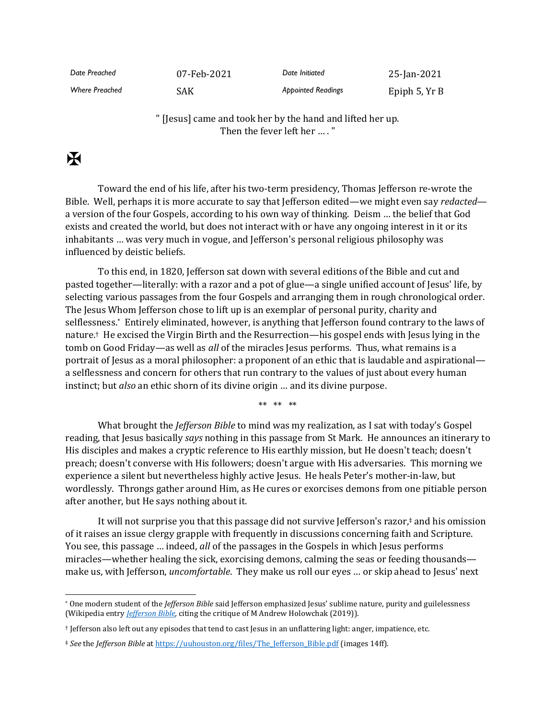| Date Preached         | 07-Feb-2021 | Date Initiated            | 25-Jan-2021   |
|-----------------------|-------------|---------------------------|---------------|
| <b>Where Preached</b> | SAK         | <b>Appointed Readings</b> | Epiph 5, Yr B |

" [Jesus] came and took her by the hand and lifted her up. Then the fever left her … . "

## $\mathbf F$

Toward the end of his life, after his two-term presidency, Thomas Jefferson re-wrote the Bible. Well, perhaps it is more accurate to say that Jefferson edited—we might even say *redacted* a version of the four Gospels, according to his own way of thinking. Deism … the belief that God exists and created the world, but does not interact with or have any ongoing interest in it or its inhabitants … was very much in vogue, and Jefferson's personal religious philosophy was influenced by deistic beliefs.

To this end, in 1820, Jefferson sat down with several editions of the Bible and cut and pasted together—literally: with a razor and a pot of glue—a single unified account of Jesus' life, by selecting various passages from the four Gospels and arranging them in rough chronological order. The Jesus Whom Jefferson chose to lift up is an exemplar of personal purity, charity and selflessness. \* Entirely eliminated, however, is anything that Jefferson found contrary to the laws of nature. † He excised the Virgin Birth and the Resurrection—his gospel ends with Jesus lying in the tomb on Good Friday—as well as *all* of the miracles Jesus performs. Thus, what remains is a portrait of Jesus as a moral philosopher: a proponent of an ethic that is laudable and aspirational a selflessness and concern for others that run contrary to the values of just about every human instinct; but *also* an ethic shorn of its divine origin … and its divine purpose.

\*\* \*\* \*\*

What brought the *Jefferson Bible* to mind was my realization, as I sat with today's Gospel reading, that Jesus basically *says* nothing in this passage from St Mark. He announces an itinerary to His disciples and makes a cryptic reference to His earthly mission, but He doesn't teach; doesn't preach; doesn't converse with His followers; doesn't argue with His adversaries. This morning we experience a silent but nevertheless highly active Jesus. He heals Peter's mother-in-law, but wordlessly. Throngs gather around Him, as He cures or exorcises demons from one pitiable person after another, but He says nothing about it.

It will not surprise you that this passage did not survive Jefferson's razor, ‡ and his omission of it raises an issue clergy grapple with frequently in discussions concerning faith and Scripture. You see, this passage … indeed, *all* of the passages in the Gospels in which Jesus performs miracles—whether healing the sick, exorcising demons, calming the seas or feeding thousands make us, with Jefferson, *uncomfortable*. They make us roll our eyes … or skip ahead to Jesus' next

<sup>\*</sup> One modern student of the *Jefferson Bible* said Jefferson emphasized Jesus' sublime nature, purity and guilelessness (Wikipedia entry *[Jefferson Bible,](https://en.wikipedia.org/wiki/Jefferson_Bible)* citing the critique of M Andrew Holowchak (2019)).

<sup>†</sup> Jefferson also left out any episodes that tend to cast Jesus in an unflattering light: anger, impatience, etc.

<sup>‡</sup> *See* the *Jefferson Bible* a[t https://uuhouston.org/files/The\\_Jefferson\\_Bible.pdf](https://uuhouston.org/files/The_Jefferson_Bible.pdf) (images 14ff).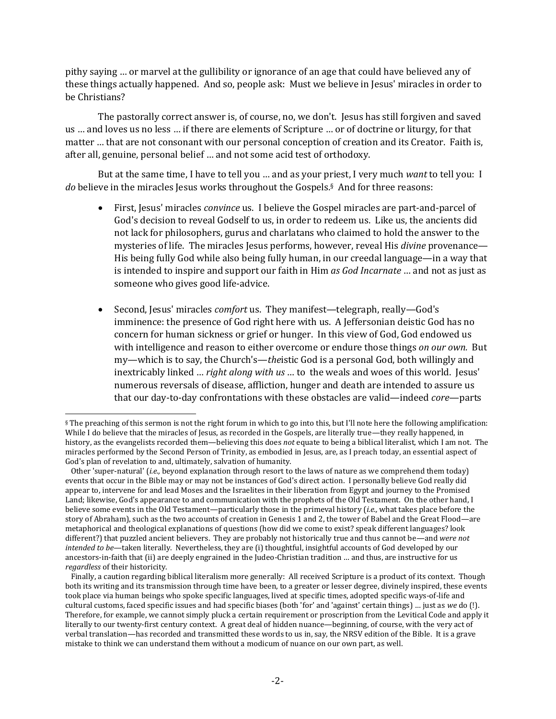pithy saying … or marvel at the gullibility or ignorance of an age that could have believed any of these things actually happened. And so, people ask: Must we believe in Jesus' miracles in order to be Christians?

The pastorally correct answer is, of course, no, we don't. Jesus has still forgiven and saved us … and loves us no less … if there are elements of Scripture … or of doctrine or liturgy, for that matter … that are not consonant with our personal conception of creation and its Creator. Faith is, after all, genuine, personal belief … and not some acid test of orthodoxy.

But at the same time, I have to tell you … and as your priest, I very much *want* to tell you: I *do* believe in the miracles Jesus works throughout the Gospels.<sup>§</sup> And for three reasons:

- First, Jesus' miracles *convince* us. I believe the Gospel miracles are part-and-parcel of God's decision to reveal Godself to us, in order to redeem us. Like us, the ancients did not lack for philosophers, gurus and charlatans who claimed to hold the answer to the mysteries of life. The miracles Jesus performs, however, reveal His *divine* provenance— His being fully God while also being fully human, in our creedal language—in a way that is intended to inspire and support our faith in Him *as God Incarnate* … and not as just as someone who gives good life-advice.
- Second, Jesus' miracles *comfort* us. They manifest—telegraph, really—God's imminence: the presence of God right here with us. A Jeffersonian deistic God has no concern for human sickness or grief or hunger. In this view of God, God endowed us with intelligence and reason to either overcome or endure those things *on our own.* But my—which is to say, the Church's—*the*istic God is a personal God, both willingly and inextricably linked … *right along with us* … to the weals and woes of this world. Jesus' numerous reversals of disease, affliction, hunger and death are intended to assure us that our day-to-day confrontations with these obstacles are valid—indeed *core*—parts

<sup>§</sup> The preaching of this sermon is not the right forum in which to go into this, but I'll note here the following amplification: While I do believe that the miracles of Jesus, as recorded in the Gospels, are literally true—they really happened, in history, as the evangelists recorded them—believing this does *not* equate to being a biblical literalist, which I am not. The miracles performed by the Second Person of Trinity, as embodied in Jesus, are, as I preach today, an essential aspect of God's plan of revelation to and, ultimately, salvation of humanity.

Other 'super-natural' (*i.e.,* beyond explanation through resort to the laws of nature as we comprehend them today) events that occur in the Bible may or may not be instances of God's direct action. I personally believe God really did appear to, intervene for and lead Moses and the Israelites in their liberation from Egypt and journey to the Promised Land; likewise, God's appearance to and communication with the prophets of the Old Testament. On the other hand, I believe some events in the Old Testament—particularly those in the primeval history (*i.e.,* what takes place before the story of Abraham), such as the two accounts of creation in Genesis 1 and 2, the tower of Babel and the Great Flood—are metaphorical and theological explanations of questions (how did we come to exist? speak different languages? look different?) that puzzled ancient believers. They are probably not historically true and thus cannot be—and *were not intended to be*—taken literally. Nevertheless, they are (i) thoughtful, insightful accounts of God developed by our ancestors-in-faith that (ii) are deeply engrained in the Judeo-Christian tradition … and thus, are instructive for us *regardless* of their historicity.

Finally, a caution regarding biblical literalism more generally: All received Scripture is a product of its context. Though both its writing and its transmission through time have been, to a greater or lesser degree, divinely inspired, these events took place via human beings who spoke specific languages, lived at specific times, adopted specific ways-of-life and cultural customs, faced specific issues and had specific biases (both 'for' and 'against' certain things) … just as *we* do (!). Therefore, for example, we cannot simply pluck a certain requirement or proscription from the Levitical Code and apply it literally to our twenty-first century context. A great deal of hidden nuance—beginning, of course, with the very act of verbal translation—has recorded and transmitted these words to us in, say, the NRSV edition of the Bible. It is a grave mistake to think we can understand them without a modicum of nuance on our own part, as well.